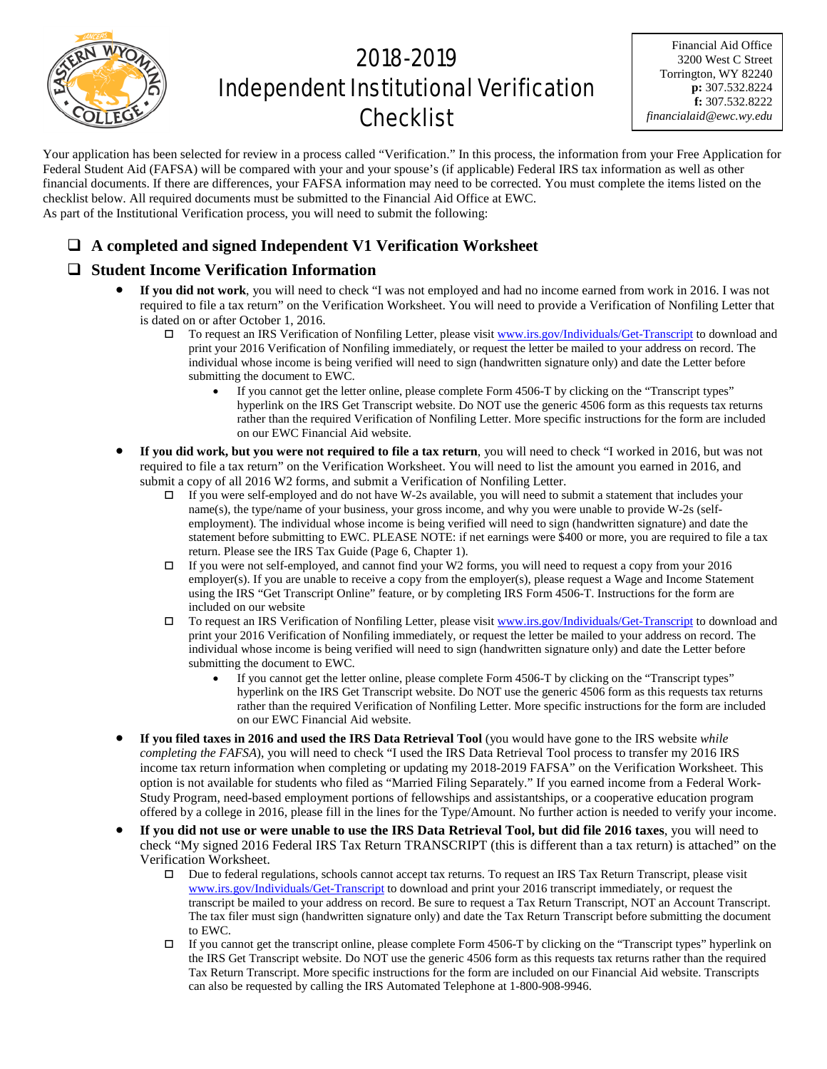

# 2018-2019 Independent Institutional Verification **Checklist**

Financial Aid Office 3200 West C Street Torrington, WY 82240 **p:** 307.532.8224 **f:** 307.532.8222 *financialaid@ewc.wy.edu*

Your application has been selected for review in a process called "Verification." In this process, the information from your Free Application for Federal Student Aid (FAFSA) will be compared with your and your spouse's (if applicable) Federal IRS tax information as well as other financial documents. If there are differences, your FAFSA information may need to be corrected. You must complete the items listed on the checklist below. All required documents must be submitted to the Financial Aid Office at EWC. As part of the Institutional Verification process, you will need to submit the following:

# **A completed and signed Independent V1 Verification Worksheet**

## **Student Income Verification Information**

- **If you did not work**, you will need to check "I was not employed and had no income earned from work in 2016. I was not required to file a tax return" on the Verification Worksheet. You will need to provide a Verification of Nonfiling Letter that is dated on or after October 1, 2016.
	- To request an IRS Verification of Nonfiling Letter, please visi[t www.irs.gov/Individuals/Get-Transcript](http://www.irs.gov/Individuals/Get-Transcript) to download and print your 2016 Verification of Nonfiling immediately, or request the letter be mailed to your address on record. The individual whose income is being verified will need to sign (handwritten signature only) and date the Letter before submitting the document to EWC.
		- If you cannot get the letter online, please complete Form 4506-T by clicking on the "Transcript types" hyperlink on the IRS Get Transcript website. Do NOT use the generic 4506 form as this requests tax returns rather than the required Verification of Nonfiling Letter. More specific instructions for the form are included on our EWC Financial Aid website.
- **If you did work, but you were not required to file a tax return**, you will need to check "I worked in 2016, but was not required to file a tax return" on the Verification Worksheet. You will need to list the amount you earned in 2016, and submit a copy of all 2016 W2 forms, and submit a Verification of Nonfiling Letter.
	- If you were self-employed and do not have W-2s available, you will need to submit a statement that includes your name(s), the type/name of your business, your gross income, and why you were unable to provide W-2s (selfemployment). The individual whose income is being verified will need to sign (handwritten signature) and date the statement before submitting to EWC. PLEASE NOTE: if net earnings were \$400 or more, you are required to file a tax return. Please see the IRS Tax Guide (Page 6, Chapter 1).
	- If you were not self-employed, and cannot find your W2 forms, you will need to request a copy from your 2016 employer(s). If you are unable to receive a copy from the employer(s), please request a Wage and Income Statement using the IRS "Get Transcript Online" feature, or by completing IRS Form 4506-T. Instructions for the form are included on our website
	- To request an IRS Verification of Nonfiling Letter, please visi[t www.irs.gov/Individuals/Get-Transcript](http://www.irs.gov/Individuals/Get-Transcript) to download and print your 2016 Verification of Nonfiling immediately, or request the letter be mailed to your address on record. The individual whose income is being verified will need to sign (handwritten signature only) and date the Letter before submitting the document to EWC.
		- If you cannot get the letter online, please complete Form 4506-T by clicking on the "Transcript types" hyperlink on the IRS Get Transcript website. Do NOT use the generic 4506 form as this requests tax returns rather than the required Verification of Nonfiling Letter. More specific instructions for the form are included on our EWC Financial Aid website.
- **If you filed taxes in 2016 and used the IRS Data Retrieval Tool** (you would have gone to the IRS website *while completing the FAFSA*), you will need to check "I used the IRS Data Retrieval Tool process to transfer my 2016 IRS income tax return information when completing or updating my 2018-2019 FAFSA" on the Verification Worksheet. This option is not available for students who filed as "Married Filing Separately." If you earned income from a Federal Work-Study Program, need-based employment portions of fellowships and assistantships, or a cooperative education program offered by a college in 2016, please fill in the lines for the Type/Amount. No further action is needed to verify your income.
- **If you did not use or were unable to use the IRS Data Retrieval Tool, but did file 2016 taxes**, you will need to check "My signed 2016 Federal IRS Tax Return TRANSCRIPT (this is different than a tax return) is attached" on the Verification Worksheet.
	- Due to federal regulations, schools cannot accept tax returns. To request an IRS Tax Return Transcript, please visit [www.irs.gov/Individuals/Get-Transcript](http://www.irs.gov/Individuals/Get-Transcript) to download and print your 2016 transcript immediately, or request the transcript be mailed to your address on record. Be sure to request a Tax Return Transcript, NOT an Account Transcript. The tax filer must sign (handwritten signature only) and date the Tax Return Transcript before submitting the document to EWC.
	- If you cannot get the transcript online, please complete Form 4506-T by clicking on the "Transcript types" hyperlink on the IRS Get Transcript website. Do NOT use the generic 4506 form as this requests tax returns rather than the required Tax Return Transcript. More specific instructions for the form are included on our Financial Aid website. Transcripts can also be requested by calling the IRS Automated Telephone at 1-800-908-9946.